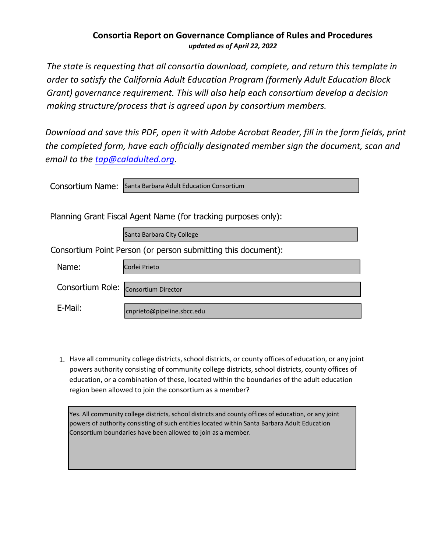## **Consortia Report on Governance Compliance of Rules and Procedures** *updated as of April 22, 2022*

*The state is requesting that all consortia download, complete, and return this template in order to satisfy the California Adult Education Program (formerly Adult Education Block Grant) governance requirement. This will also help each consortium develop a decision making structure/process that is agreed upon by consortium members.*

*Download and save this PDF, open it with Adobe Acrobat Reader, fill in the form fields, print the completed form, have each officially designated member sign the document, scan and email to the [tap@caladulted.org.](mailto:tap@caladulted.org)* 

| Consortium Name:                                              | Santa Barbara Adult Education Consortium                       |  |  |  |
|---------------------------------------------------------------|----------------------------------------------------------------|--|--|--|
|                                                               |                                                                |  |  |  |
|                                                               | Planning Grant Fiscal Agent Name (for tracking purposes only): |  |  |  |
|                                                               | Santa Barbara City College                                     |  |  |  |
| Consortium Point Person (or person submitting this document): |                                                                |  |  |  |
| Name:                                                         | Corlei Prieto                                                  |  |  |  |
|                                                               |                                                                |  |  |  |

| Consortium Role: Consortium Director |                            |
|--------------------------------------|----------------------------|
| E-Mail:                              | cnprieto@pipeline.sbcc.edu |

1. Have all community college districts, school districts, or county offices of education, or any joint powers authority consisting of community college districts, school districts, county offices of education, or a combination of these, located within the boundaries of the adult education region been allowed to join the consortium as a member?

Yes. All community college districts, school districts and county offices of education, or any joint powers of authority consisting of such entities located within Santa Barbara Adult Education Consortium boundaries have been allowed to join as a member.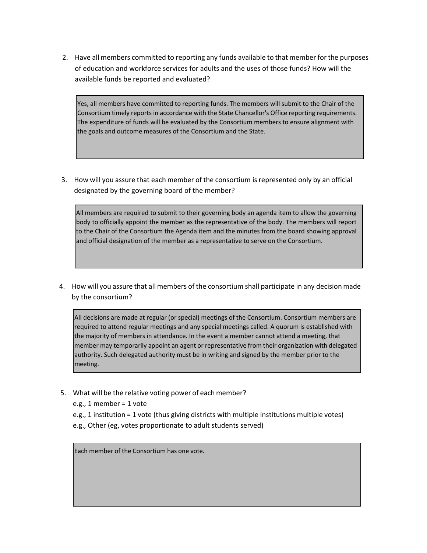2. Have all members committed to reporting any funds available to that member for the purposes of education and workforce services for adults and the uses of those funds? How will the available funds be reported and evaluated?

Yes, all members have committed to reporting funds. The members will submit to the Chair of the Consortium timely reports in accordance with the State Chancellor's Office reporting requirements. The expenditure of funds will be evaluated by the Consortium members to ensure alignment with the goals and outcome measures of the Consortium and the State.

3. How will you assure that each member of the consortium isrepresented only by an official designated by the governing board of the member?

All members are required to submit to their governing body an agenda item to allow the governing body to officially appoint the member as the representative of the body. The members will report to the Chair of the Consortium the Agenda item and the minutes from the board showing approval and official designation of the member as a representative to serve on the Consortium.

4. How will you assure that all members of the consortium shall participate in any decision made by the consortium?

All decisions are made at regular (or special) meetings of the Consortium. Consortium members are required to attend regular meetings and any special meetings called. A quorum is established with the majority of members in attendance. In the event a member cannot attend a meeting, that member may temporarily appoint an agent or representative from their organization with delegated authority. Such delegated authority must be in writing and signed by the member prior to the meeting.

- 5. What will be the relative voting power of each member?
	- e.g., 1 member = 1 vote
	- e.g., 1 institution = 1 vote (thus giving districts with multiple institutions multiple votes)
	- e.g., Other (eg, votes proportionate to adult students served)

Each member of the Consortium has one vote.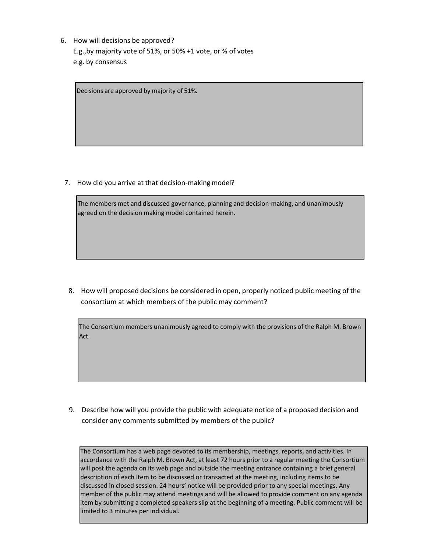6. How will decisions be approved? E.g.,by majority vote of 51%, or 50% +1 vote, or ⅔ of votes e.g. by consensus

Decisions are approved by majority of 51%.

7. How did you arrive at that decision-making model?

The members met and discussed governance, planning and decision-making, and unanimously agreed on the decision making model contained herein.

8. How will proposed decisions be considered in open, properly noticed public meeting of the consortium at which members of the public may comment?

The Consortium members unanimously agreed to comply with the provisions of the Ralph M. Brown Act.

9. Describe how will you provide the public with adequate notice of a proposed decision and consider any comments submitted by members of the public?

The Consortium has a web page devoted to its membership, meetings, reports, and activities. In accordance with the Ralph M. Brown Act, at least 72 hours prior to a regular meeting the Consortium will post the agenda on its web page and outside the meeting entrance containing a brief general description of each item to be discussed or transacted at the meeting, including items to be discussed in closed session. 24 hours' notice will be provided prior to any special meetings. Any member of the public may attend meetings and will be allowed to provide comment on any agenda item by submitting a completed speakers slip at the beginning of a meeting. Public comment will be limited to 3 minutes per individual.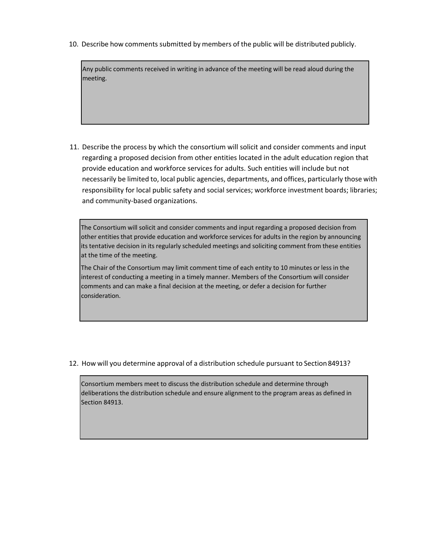10. Describe how comments submitted by members of the public will be distributed publicly.

Any public comments received in writing in advance of the meeting will be read aloud during the meeting.

11. Describe the process by which the consortium will solicit and consider comments and input regarding a proposed decision from other entities located in the adult education region that provide education and workforce services for adults. Such entities will include but not necessarily be limited to, local public agencies, departments, and offices, particularly those with responsibility for local public safety and social services; workforce investment boards; libraries; and community-based organizations.

The Consortium will solicit and consider comments and input regarding a proposed decision from other entities that provide education and workforce services for adults in the region by announcing its tentative decision in its regularly scheduled meetings and soliciting comment from these entities at the time of the meeting.

The Chair of the Consortium may limit comment time of each entity to 10 minutes or less in the interest of conducting a meeting in a timely manner. Members of the Consortium will consider comments and can make a final decision at the meeting, or defer a decision for further consideration.

12. How will you determine approval of a distribution schedule pursuant to Section84913?

Consortium members meet to discuss the distribution schedule and determine through deliberations the distribution schedule and ensure alignment to the program areas as defined in Section 84913.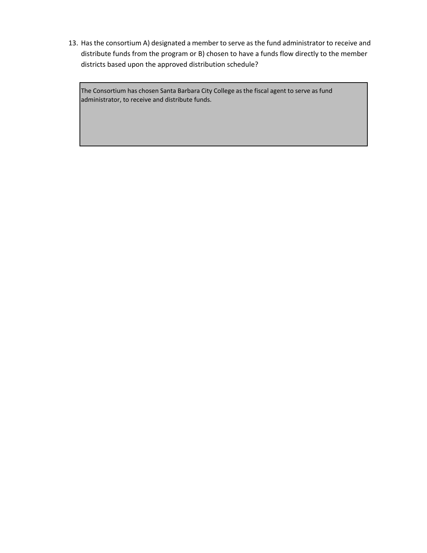13. Hasthe consortium A) designated a member to serve as the fund administrator to receive and distribute funds from the program or B) chosen to have a funds flow directly to the member districts based upon the approved distribution schedule?

The Consortium has chosen Santa Barbara City College as the fiscal agent to serve as fund administrator, to receive and distribute funds.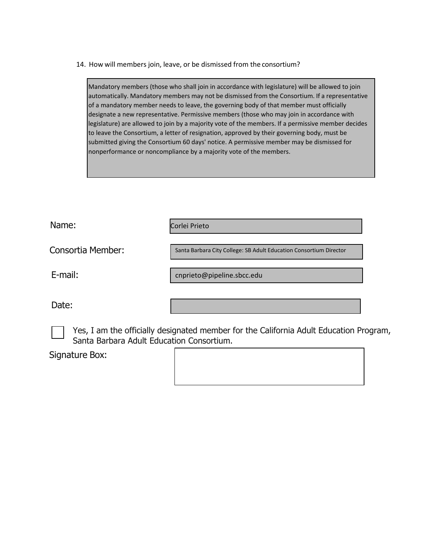14. How will members join, leave, or be dismissed from the consortium?

Mandatory members (those who shall join in accordance with legislature) will be allowed to join automatically. Mandatory members may not be dismissed from the Consortium. If a representative of a mandatory member needs to leave, the governing body of that member must officially designate a new representative. Permissive members (those who may join in accordance with legislature) are allowed to join by a majority vote of the members. If a permissive member decides to leave the Consortium, a letter of resignation, approved by their governing body, must be submitted giving the Consortium 60 days' notice. A permissive member may be dismissed for nonperformance or noncompliance by a majority vote of the members.

Name:

Corlei Prieto

Consortia Member:

E-mail:

cnprieto@pipeline.sbcc.edu

Date:

Yes, I am the officially designated member for the California Adult Education Program, Santa Barbara Adult Education Consortium.

Signature Box:

Santa Barbara City College: SB Adult Education Consortium Director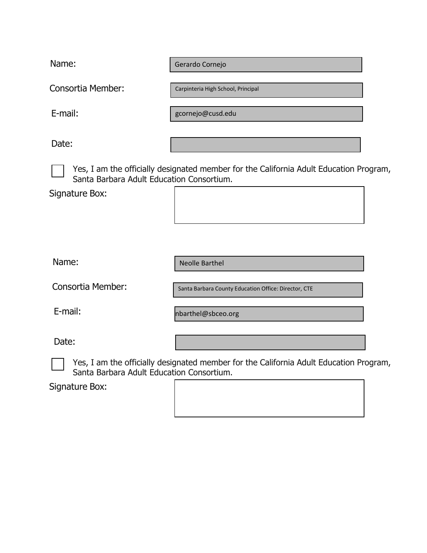Name:

Gerardo Cornejo

Consortia Member:

Carpinteria High School, Principal

E-mail:

[gcornejo@cusd.edu](mailto:gcornejo@cusd.edu)

Date:

Yes, I am the officially designated member for the California Adult Education Program, Santa Barbara Adult Education Consortium.

Signature Box:

Neolle Barthel

Consortia Member:

Santa Barbara County Education Office: Director, CTE

E-mail:

Name:

nbarthel@sbceo.org

Date:

Yes, I am the officially designated member for the California Adult Education Program, Santa Barbara Adult Education Consortium.

Signature Box: